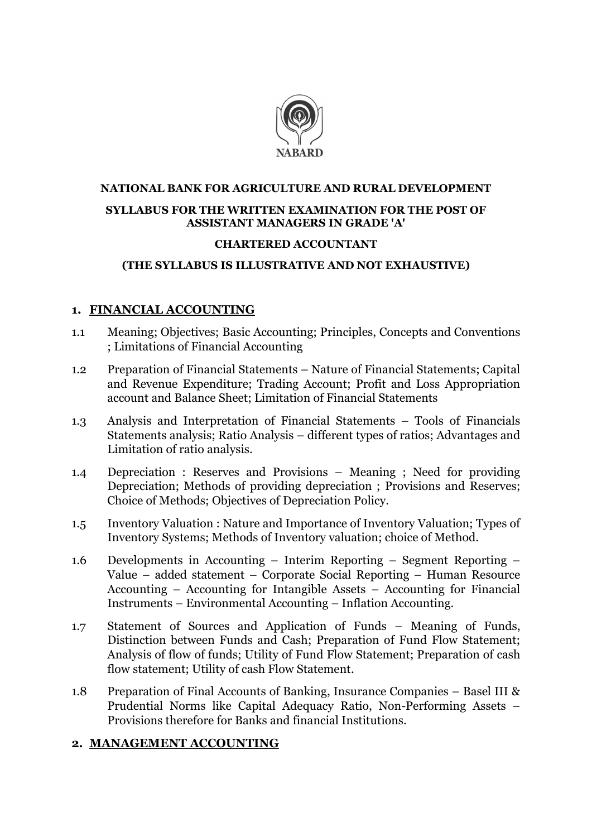

# NATIONAL BANK FOR AGRICULTURE AND RURAL DEVELOPMENT SYLLABUS FOR THE WRITTEN EXAMINATION FOR THE POST OF ASSISTANT MANAGERS IN GRADE 'A'

#### CHARTERED ACCOUNTANT

#### (THE SYLLABUS IS ILLUSTRATIVE AND NOT EXHAUSTIVE)

## 1. FINANCIAL ACCOUNTING

- 1.1 Meaning; Objectives; Basic Accounting; Principles, Concepts and Conventions ; Limitations of Financial Accounting
- 1.2 Preparation of Financial Statements Nature of Financial Statements; Capital and Revenue Expenditure; Trading Account; Profit and Loss Appropriation account and Balance Sheet; Limitation of Financial Statements
- 1.3 Analysis and Interpretation of Financial Statements Tools of Financials Statements analysis; Ratio Analysis – different types of ratios; Advantages and Limitation of ratio analysis.
- 1.4 Depreciation : Reserves and Provisions Meaning ; Need for providing Depreciation; Methods of providing depreciation ; Provisions and Reserves; Choice of Methods; Objectives of Depreciation Policy.
- 1.5 Inventory Valuation : Nature and Importance of Inventory Valuation; Types of Inventory Systems; Methods of Inventory valuation; choice of Method.
- 1.6 Developments in Accounting Interim Reporting Segment Reporting Value – added statement – Corporate Social Reporting – Human Resource Accounting – Accounting for Intangible Assets – Accounting for Financial Instruments – Environmental Accounting – Inflation Accounting.
- 1.7 Statement of Sources and Application of Funds Meaning of Funds, Distinction between Funds and Cash; Preparation of Fund Flow Statement; Analysis of flow of funds; Utility of Fund Flow Statement; Preparation of cash flow statement; Utility of cash Flow Statement.
- 1.8 Preparation of Final Accounts of Banking, Insurance Companies Basel III & Prudential Norms like Capital Adequacy Ratio, Non-Performing Assets – Provisions therefore for Banks and financial Institutions.

## 2. MANAGEMENT ACCOUNTING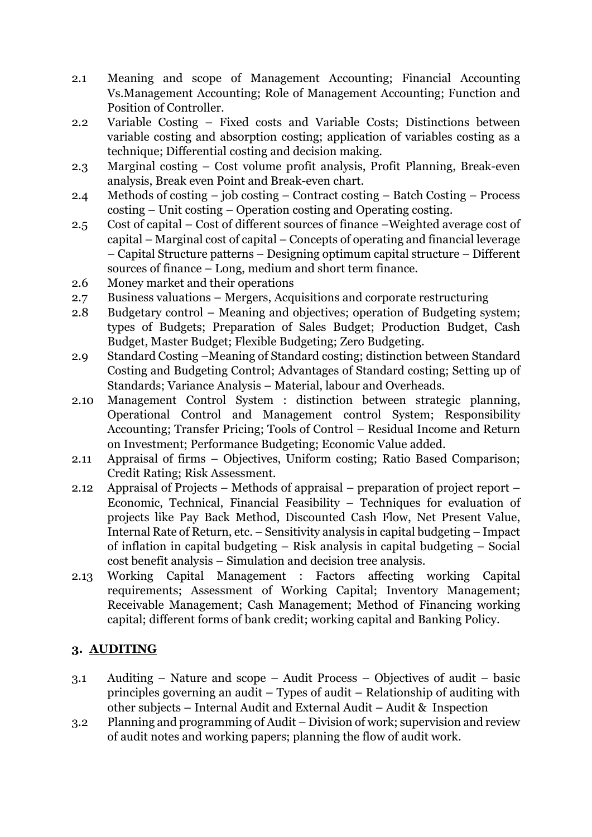- 2.1 Meaning and scope of Management Accounting; Financial Accounting Vs.Management Accounting; Role of Management Accounting; Function and Position of Controller.
- 2.2 Variable Costing Fixed costs and Variable Costs; Distinctions between variable costing and absorption costing; application of variables costing as a technique; Differential costing and decision making.
- 2.3 Marginal costing Cost volume profit analysis, Profit Planning, Break-even analysis, Break even Point and Break-even chart.
- 2.4 Methods of costing job costing Contract costing Batch Costing Process costing – Unit costing – Operation costing and Operating costing.
- 2.5 Cost of capital Cost of different sources of finance –Weighted average cost of capital – Marginal cost of capital – Concepts of operating and financial leverage – Capital Structure patterns – Designing optimum capital structure – Different sources of finance – Long, medium and short term finance.
- 2.6 Money market and their operations
- 2.7 Business valuations Mergers, Acquisitions and corporate restructuring
- 2.8 Budgetary control Meaning and objectives; operation of Budgeting system; types of Budgets; Preparation of Sales Budget; Production Budget, Cash Budget, Master Budget; Flexible Budgeting; Zero Budgeting.
- 2.9 Standard Costing –Meaning of Standard costing; distinction between Standard Costing and Budgeting Control; Advantages of Standard costing; Setting up of Standards; Variance Analysis – Material, labour and Overheads.
- 2.10 Management Control System : distinction between strategic planning, Operational Control and Management control System; Responsibility Accounting; Transfer Pricing; Tools of Control – Residual Income and Return on Investment; Performance Budgeting; Economic Value added.
- 2.11 Appraisal of firms Objectives, Uniform costing; Ratio Based Comparison; Credit Rating; Risk Assessment.
- 2.12 Appraisal of Projects Methods of appraisal preparation of project report Economic, Technical, Financial Feasibility – Techniques for evaluation of projects like Pay Back Method, Discounted Cash Flow, Net Present Value, Internal Rate of Return, etc. – Sensitivity analysis in capital budgeting – Impact of inflation in capital budgeting – Risk analysis in capital budgeting – Social cost benefit analysis – Simulation and decision tree analysis.
- 2.13 Working Capital Management : Factors affecting working Capital requirements; Assessment of Working Capital; Inventory Management; Receivable Management; Cash Management; Method of Financing working capital; different forms of bank credit; working capital and Banking Policy.

# 3. AUDITING

- 3.1 Auditing Nature and scope Audit Process Objectives of audit basic principles governing an audit – Types of audit – Relationship of auditing with other subjects – Internal Audit and External Audit – Audit & Inspection
- 3.2 Planning and programming of Audit Division of work; supervision and review of audit notes and working papers; planning the flow of audit work.